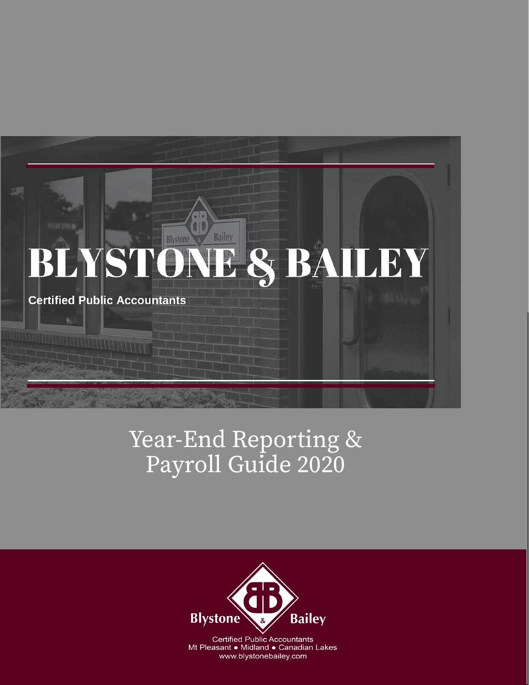# Bailey Blystone **& BAILEY** BLYST **Certified Public Accountants**

# Year-End Reporting & Payroll Guide 2020



**Certified Public Accountants** Mt Pleasant • Midland • Canadian Lakes www.blystonebailey.com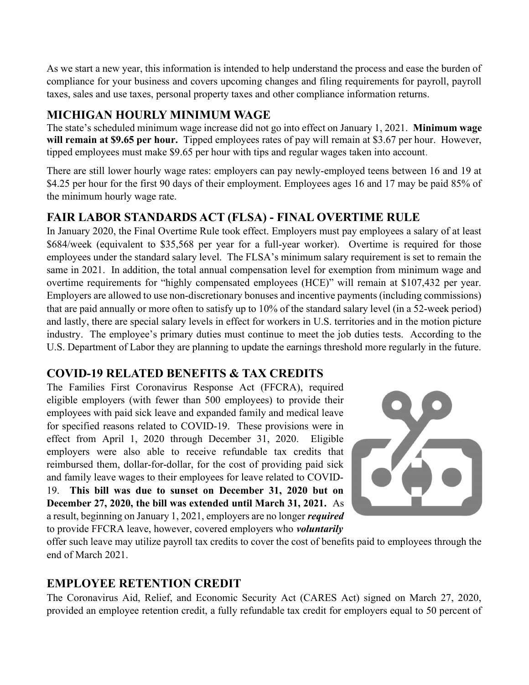As we start a new year, this information is intended to help understand the process and ease the burden of compliance for your business and covers upcoming changes and filing requirements for payroll, payroll taxes, sales and use taxes, personal property taxes and other compliance information returns.

#### MICHIGAN HOURLY MINIMUM WAGE

The state's scheduled minimum wage increase did not go into effect on January 1, 2021. Minimum wage will remain at \$9.65 per hour. Tipped employees rates of pay will remain at \$3.67 per hour. However, tipped employees must make \$9.65 per hour with tips and regular wages taken into account.

There are still lower hourly wage rates: employers can pay newly-employed teens between 16 and 19 at \$4.25 per hour for the first 90 days of their employment. Employees ages 16 and 17 may be paid 85% of the minimum hourly wage rate.

### FAIR LABOR STANDARDS ACT (FLSA) - FINAL OVERTIME RULE

In January 2020, the Final Overtime Rule took effect. Employers must pay employees a salary of at least \$684/week (equivalent to \$35,568 per year for a full-year worker). Overtime is required for those employees under the standard salary level. The FLSA's minimum salary requirement is set to remain the same in 2021. In addition, the total annual compensation level for exemption from minimum wage and overtime requirements for "highly compensated employees (HCE)" will remain at \$107,432 per year. Employers are allowed to use non-discretionary bonuses and incentive payments (including commissions) that are paid annually or more often to satisfy up to 10% of the standard salary level (in a 52-week period) and lastly, there are special salary levels in effect for workers in U.S. territories and in the motion picture industry. The employee's primary duties must continue to meet the job duties tests. According to the U.S. Department of Labor they are planning to update the earnings threshold more regularly in the future.

#### COVID-19 RELATED BENEFITS & TAX CREDITS

The Families First Coronavirus Response Act (FFCRA), required eligible employers (with fewer than 500 employees) to provide their employees with paid sick leave and expanded family and medical leave for specified reasons related to COVID-19. These provisions were in effect from April 1, 2020 through December 31, 2020. Eligible employers were also able to receive refundable tax credits that reimbursed them, dollar-for-dollar, for the cost of providing paid sick and family leave wages to their employees for leave related to COVID-19. This bill was due to sunset on December 31, 2020 but on December 27, 2020, the bill was extended until March 31, 2021. As a result, beginning on January 1, 2021, employers are no longer required to provide FFCRA leave, however, covered employers who *voluntarily* 



offer such leave may utilize payroll tax credits to cover the cost of benefits paid to employees through the end of March 2021.

## EMPLOYEE RETENTION CREDIT

The Coronavirus Aid, Relief, and Economic Security Act (CARES Act) signed on March 27, 2020, provided an employee retention credit, a fully refundable tax credit for employers equal to 50 percent of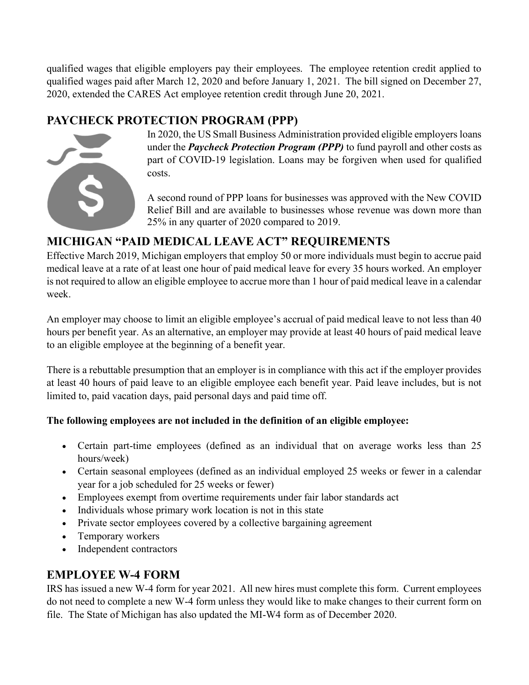qualified wages that eligible employers pay their employees. The employee retention credit applied to qualified wages paid after March 12, 2020 and before January 1, 2021. The bill signed on December 27, 2020, extended the CARES Act employee retention credit through June 20, 2021.

## PAYCHECK PROTECTION PROGRAM (PPP)



In 2020, the US Small Business Administration provided eligible employers loans under the *Paycheck Protection Program (PPP)* to fund payroll and other costs as part of COVID-19 legislation. Loans may be forgiven when used for qualified costs.

A second round of PPP loans for businesses was approved with the New COVID Relief Bill and are available to businesses whose revenue was down more than 25% in any quarter of 2020 compared to 2019.

## MICHIGAN "PAID MEDICAL LEAVE ACT" REQUIREMENTS

Effective March 2019, Michigan employers that employ 50 or more individuals must begin to accrue paid medical leave at a rate of at least one hour of paid medical leave for every 35 hours worked. An employer is not required to allow an eligible employee to accrue more than 1 hour of paid medical leave in a calendar week.

An employer may choose to limit an eligible employee's accrual of paid medical leave to not less than 40 hours per benefit year. As an alternative, an employer may provide at least 40 hours of paid medical leave to an eligible employee at the beginning of a benefit year.

There is a rebuttable presumption that an employer is in compliance with this act if the employer provides at least 40 hours of paid leave to an eligible employee each benefit year. Paid leave includes, but is not limited to, paid vacation days, paid personal days and paid time off.

#### The following employees are not included in the definition of an eligible employee:

- Certain part-time employees (defined as an individual that on average works less than 25 hours/week)
- Certain seasonal employees (defined as an individual employed 25 weeks or fewer in a calendar year for a job scheduled for 25 weeks or fewer)
- Employees exempt from overtime requirements under fair labor standards act
- Individuals whose primary work location is not in this state
- Private sector employees covered by a collective bargaining agreement
- Temporary workers
- Independent contractors

## EMPLOYEE W-4 FORM

IRS has issued a new W-4 form for year 2021. All new hires must complete this form. Current employees do not need to complete a new W-4 form unless they would like to make changes to their current form on file. The State of Michigan has also updated the MI-W4 form as of December 2020.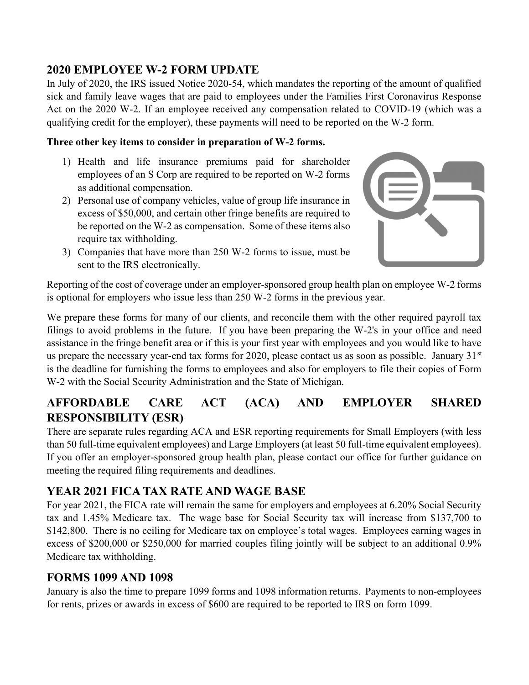#### 2020 EMPLOYEE W-2 FORM UPDATE

In July of 2020, the IRS issued Notice 2020-54, which mandates the reporting of the amount of qualified sick and family leave wages that are paid to employees under the Families First Coronavirus Response Act on the 2020 W-2. If an employee received any compensation related to COVID-19 (which was a qualifying credit for the employer), these payments will need to be reported on the W-2 form.

#### Three other key items to consider in preparation of W-2 forms.

- 1) Health and life insurance premiums paid for shareholder employees of an S Corp are required to be reported on W-2 forms as additional compensation.
- 2) Personal use of company vehicles, value of group life insurance in excess of \$50,000, and certain other fringe benefits are required to be reported on the W-2 as compensation. Some of these items also require tax withholding.
- 3) Companies that have more than 250 W-2 forms to issue, must be sent to the IRS electronically.



Reporting of the cost of coverage under an employer-sponsored group health plan on employee W-2 forms is optional for employers who issue less than 250 W-2 forms in the previous year.

We prepare these forms for many of our clients, and reconcile them with the other required payroll tax filings to avoid problems in the future. If you have been preparing the W-2's in your office and need assistance in the fringe benefit area or if this is your first year with employees and you would like to have us prepare the necessary year-end tax forms for 2020, please contact us as soon as possible. January 31<sup>st</sup> is the deadline for furnishing the forms to employees and also for employers to file their copies of Form W-2 with the Social Security Administration and the State of Michigan.

## AFFORDABLE CARE ACT (ACA) AND EMPLOYER SHARED RESPONSIBILITY (ESR)

There are separate rules regarding ACA and ESR reporting requirements for Small Employers (with less than 50 full-time equivalent employees) and Large Employers (at least 50 full-time equivalent employees). If you offer an employer-sponsored group health plan, please contact our office for further guidance on meeting the required filing requirements and deadlines.

## YEAR 2021 FICA TAX RATE AND WAGE BASE

For year 2021, the FICA rate will remain the same for employers and employees at 6.20% Social Security tax and 1.45% Medicare tax. The wage base for Social Security tax will increase from \$137,700 to \$142,800. There is no ceiling for Medicare tax on employee's total wages. Employees earning wages in excess of \$200,000 or \$250,000 for married couples filing jointly will be subject to an additional 0.9% Medicare tax withholding.

#### FORMS 1099 AND 1098

January is also the time to prepare 1099 forms and 1098 information returns. Payments to non-employees for rents, prizes or awards in excess of \$600 are required to be reported to IRS on form 1099.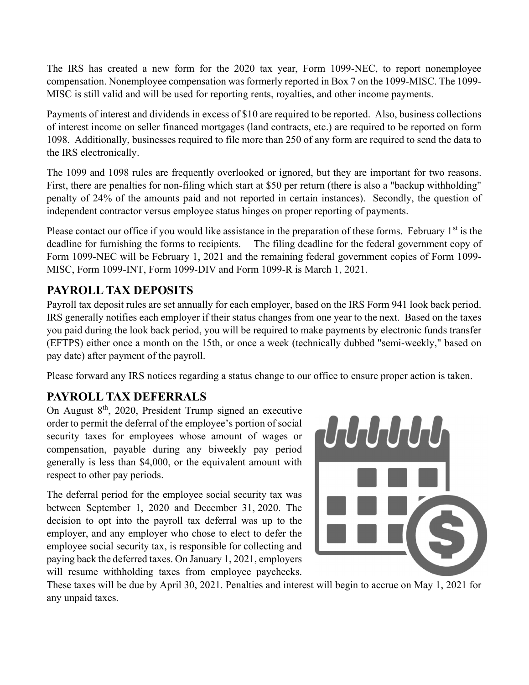The IRS has created a new form for the 2020 tax year, Form 1099-NEC, to report nonemployee compensation. Nonemployee compensation was formerly reported in Box 7 on the 1099-MISC. The 1099- MISC is still valid and will be used for reporting rents, royalties, and other income payments.

Payments of interest and dividends in excess of \$10 are required to be reported. Also, business collections of interest income on seller financed mortgages (land contracts, etc.) are required to be reported on form 1098. Additionally, businesses required to file more than 250 of any form are required to send the data to the IRS electronically.

The 1099 and 1098 rules are frequently overlooked or ignored, but they are important for two reasons. First, there are penalties for non-filing which start at \$50 per return (there is also a "backup withholding" penalty of 24% of the amounts paid and not reported in certain instances). Secondly, the question of independent contractor versus employee status hinges on proper reporting of payments.

Please contact our office if you would like assistance in the preparation of these forms. February  $1<sup>st</sup>$  is the deadline for furnishing the forms to recipients. The filing deadline for the federal government copy of Form 1099-NEC will be February 1, 2021 and the remaining federal government copies of Form 1099- MISC, Form 1099-INT, Form 1099-DIV and Form 1099-R is March 1, 2021.

#### PAYROLL TAX DEPOSITS

Payroll tax deposit rules are set annually for each employer, based on the IRS Form 941 look back period. IRS generally notifies each employer if their status changes from one year to the next. Based on the taxes you paid during the look back period, you will be required to make payments by electronic funds transfer (EFTPS) either once a month on the 15th, or once a week (technically dubbed "semi-weekly," based on pay date) after payment of the payroll.

Please forward any IRS notices regarding a status change to our office to ensure proper action is taken.

#### PAYROLL TAX DEFERRALS

On August  $8<sup>th</sup>$ , 2020, President Trump signed an executive order to permit the deferral of the employee's portion of social security taxes for employees whose amount of wages or compensation, payable during any biweekly pay period generally is less than \$4,000, or the equivalent amount with respect to other pay periods.

The deferral period for the employee social security tax was between September 1, 2020 and December 31, 2020. The decision to opt into the payroll tax deferral was up to the employer, and any employer who chose to elect to defer the employee social security tax, is responsible for collecting and paying back the deferred taxes. On January 1, 2021, employers will resume withholding taxes from employee paychecks.



These taxes will be due by April 30, 2021. Penalties and interest will begin to accrue on May 1, 2021 for any unpaid taxes.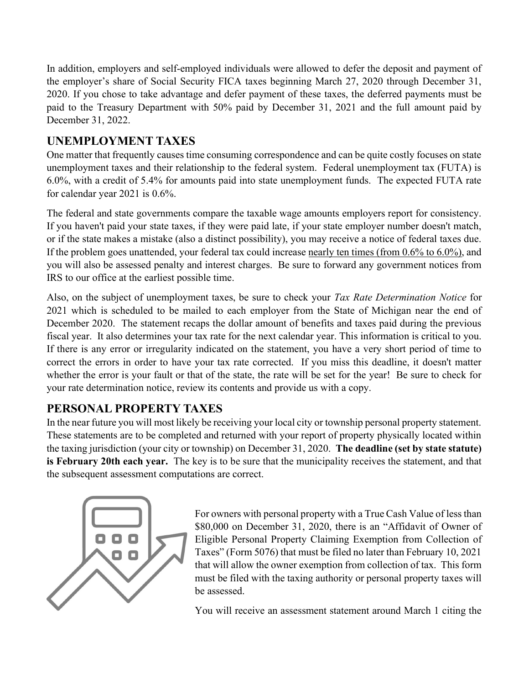In addition, employers and self-employed individuals were allowed to defer the deposit and payment of the employer's share of Social Security FICA taxes beginning March 27, 2020 through December 31, 2020. If you chose to take advantage and defer payment of these taxes, the deferred payments must be paid to the Treasury Department with 50% paid by December 31, 2021 and the full amount paid by December 31, 2022.

## UNEMPLOYMENT TAXES

One matter that frequently causes time consuming correspondence and can be quite costly focuses on state unemployment taxes and their relationship to the federal system. Federal unemployment tax (FUTA) is 6.0%, with a credit of 5.4% for amounts paid into state unemployment funds. The expected FUTA rate for calendar year 2021 is 0.6%.

The federal and state governments compare the taxable wage amounts employers report for consistency. If you haven't paid your state taxes, if they were paid late, if your state employer number doesn't match, or if the state makes a mistake (also a distinct possibility), you may receive a notice of federal taxes due. If the problem goes unattended, your federal tax could increase nearly ten times (from 0.6% to 6.0%), and you will also be assessed penalty and interest charges. Be sure to forward any government notices from IRS to our office at the earliest possible time.

Also, on the subject of unemployment taxes, be sure to check your Tax Rate Determination Notice for 2021 which is scheduled to be mailed to each employer from the State of Michigan near the end of December 2020. The statement recaps the dollar amount of benefits and taxes paid during the previous fiscal year. It also determines your tax rate for the next calendar year. This information is critical to you. If there is any error or irregularity indicated on the statement, you have a very short period of time to correct the errors in order to have your tax rate corrected. If you miss this deadline, it doesn't matter whether the error is your fault or that of the state, the rate will be set for the year! Be sure to check for your rate determination notice, review its contents and provide us with a copy.

# PERSONAL PROPERTY TAXES

In the near future you will most likely be receiving your local city or township personal property statement. These statements are to be completed and returned with your report of property physically located within the taxing jurisdiction (your city or township) on December 31, 2020. The deadline (set by state statute) is February 20th each year. The key is to be sure that the municipality receives the statement, and that the subsequent assessment computations are correct.



For owners with personal property with a True Cash Value of less than \$80,000 on December 31, 2020, there is an "Affidavit of Owner of Eligible Personal Property Claiming Exemption from Collection of Taxes" (Form 5076) that must be filed no later than February 10, 2021 that will allow the owner exemption from collection of tax. This form must be filed with the taxing authority or personal property taxes will be assessed.

You will receive an assessment statement around March 1 citing the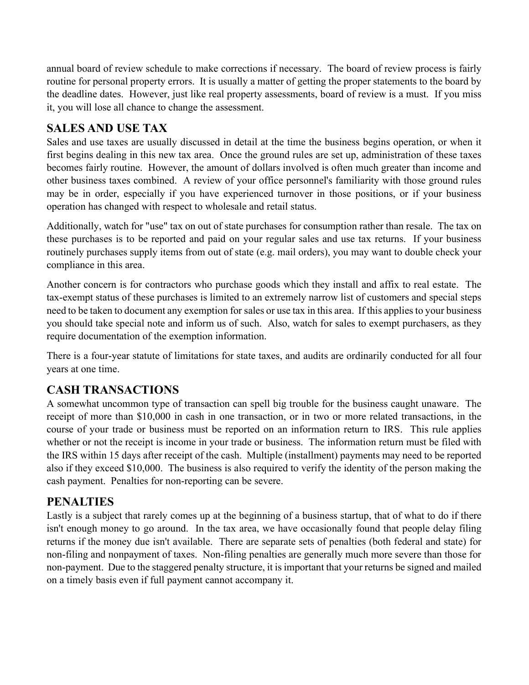annual board of review schedule to make corrections if necessary. The board of review process is fairly routine for personal property errors. It is usually a matter of getting the proper statements to the board by the deadline dates. However, just like real property assessments, board of review is a must. If you miss it, you will lose all chance to change the assessment.

#### SALES AND USE TAX

Sales and use taxes are usually discussed in detail at the time the business begins operation, or when it first begins dealing in this new tax area. Once the ground rules are set up, administration of these taxes becomes fairly routine. However, the amount of dollars involved is often much greater than income and other business taxes combined. A review of your office personnel's familiarity with those ground rules may be in order, especially if you have experienced turnover in those positions, or if your business operation has changed with respect to wholesale and retail status.

Additionally, watch for "use" tax on out of state purchases for consumption rather than resale. The tax on these purchases is to be reported and paid on your regular sales and use tax returns. If your business routinely purchases supply items from out of state (e.g. mail orders), you may want to double check your compliance in this area.

Another concern is for contractors who purchase goods which they install and affix to real estate. The tax-exempt status of these purchases is limited to an extremely narrow list of customers and special steps need to be taken to document any exemption for sales or use tax in this area. If this applies to your business you should take special note and inform us of such. Also, watch for sales to exempt purchasers, as they require documentation of the exemption information.

There is a four-year statute of limitations for state taxes, and audits are ordinarily conducted for all four years at one time.

## CASH TRANSACTIONS

A somewhat uncommon type of transaction can spell big trouble for the business caught unaware. The receipt of more than \$10,000 in cash in one transaction, or in two or more related transactions, in the course of your trade or business must be reported on an information return to IRS. This rule applies whether or not the receipt is income in your trade or business. The information return must be filed with the IRS within 15 days after receipt of the cash. Multiple (installment) payments may need to be reported also if they exceed \$10,000. The business is also required to verify the identity of the person making the cash payment. Penalties for non-reporting can be severe.

#### PENALTIES

Lastly is a subject that rarely comes up at the beginning of a business startup, that of what to do if there isn't enough money to go around. In the tax area, we have occasionally found that people delay filing returns if the money due isn't available. There are separate sets of penalties (both federal and state) for non-filing and nonpayment of taxes. Non-filing penalties are generally much more severe than those for non-payment. Due to the staggered penalty structure, it is important that your returns be signed and mailed on a timely basis even if full payment cannot accompany it.